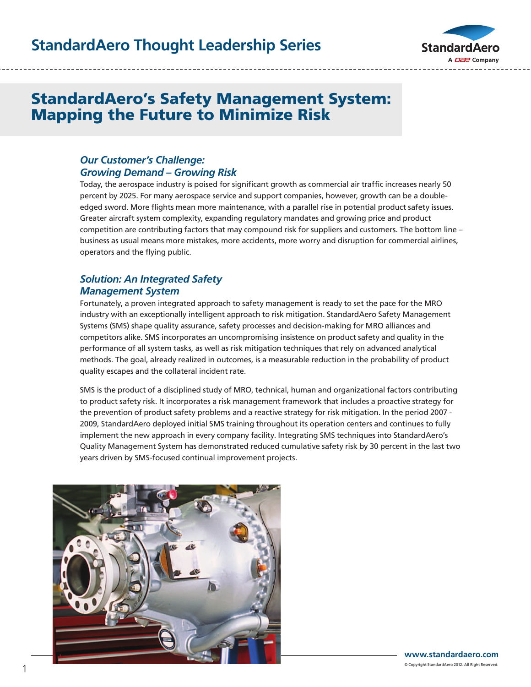# **StandardAero Thought Leadership Series**



# StandardAero's Safety Management System: Mapping the Future to Minimize Risk

### *Our Customer's Challenge: Growing Demand – Growing Risk*

**Is Like Comparing Apples To Oranges.**

Today, the aerospace industry is poised for significant growth as commercial air traffic increases nearly 50 percent by 2025. For many aerospace service and support companies, however, growth can be a doubleedged sword. More flights mean more maintenance, with a parallel rise in potential product safety issues. Greater aircraft system complexity, expanding regulatory mandates and growing price and product competition are contributing factors that may compound risk for suppliers and customers. The bottom line – business as usual means more mistakes, more accidents, more worry and disruption for commercial airlines, operators and the flying public.

### *Solution: An Integrated Safety Management System*

Fortunately, a proven integrated approach to safety management is ready to set the pace for the MRO industry with an exceptionally intelligent approach to risk mitigation. StandardAero Safety Management Systems (SMS) shape quality assurance, safety processes and decision-making for MRO alliances and competitors alike. SMS incorporates an uncompromising insistence on product safety and quality in the performance of all system tasks, as well as risk mitigation techniques that rely on advanced analytical methods. The goal, already realized in outcomes, is a measurable reduction in the probability of product quality escapes and the collateral incident rate.

SMS is the product of a disciplined study of MRO, technical, human and organizational factors contributing to product safety risk. It incorporates a risk management framework that includes a proactive strategy for the prevention of product safety problems and a reactive strategy for risk mitigation. In the period 2007 - 2009, StandardAero deployed initial SMS training throughout its operation centers and continues to fully implement the new approach in every company facility. Integrating SMS techniques into StandardAero's Quality Management System has demonstrated reduced cumulative safety risk by 30 percent in the last two years driven by SMS-focused continual improvement projects.

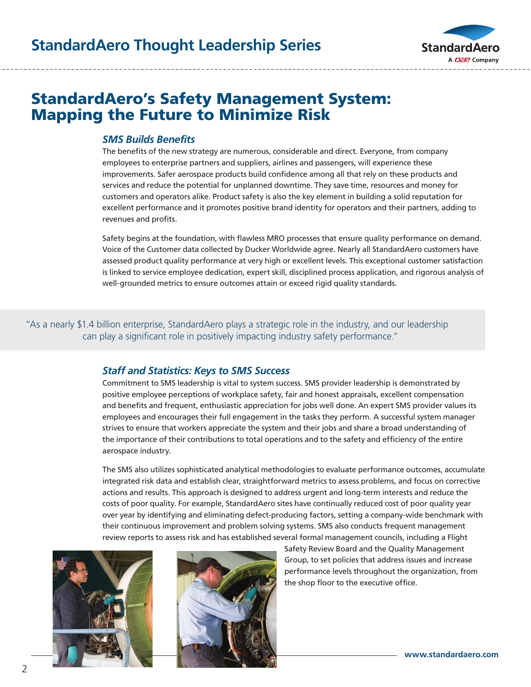

and records review. It is not designed to be a recommendation, rather a list from which you can make informed

# StandardAero's Safety Management System: Mapping the Future to Minimize Risk

#### *SMS Builds Benefits*

The benefits of the new strategy are numerous, considerable and direct. Everyone, from company employees to enterprise partners and suppliers, airlines and passengers, will experience these improvements. Safer aerospace products build confidence among all that rely on these products and improvements. Safer aerospace products build confidence among all that rely on these products and<br>services and reduce the potential for unplanned downtime. They save time, resources and money for customers and operators alike. Product safety is also the key element in building a solid reputation for customers and operators alike. Product safety is also the key element in building a solid reputation for<br>excellent performance and it promotes positive brand identity for operators and their partners, adding to revenues and profits. cus<br>Pre-Purchase exa

Safety begins at the foundation, with flawless MRO processes that ensure quality performance on demand. Voice of the Customer data collected by Ducker Worldwide agree. Nearly all StandardAero customers have assessed product quality performance at very high or excellent levels. This exceptional customer satisfaction is linked to service employee dedication, expert skill, disciplined process application, and rigorous analysis of well-grounded metrics to ensure outcomes attain or exceed rigid quality standards.

"As a nearly \$1.4 billion enterprise, StandardAero plays a strategic role in the industry, and our leadership can play a significant role in positively impacting industry safety performance." A StAndArdAero Pre-PurchASe evAluAtion ProvideS

#### *Staff and Statistics: Keys to SMS Success*

Commitment to SMS leadership is vital to system success. SMS provider leadership is demonstrated by positive employee perceptions of workplace safety, fair and honest appraisals, excellent compensation *1. No hassle, short notice input.* and benefits and frequent, enthusiastic appreciation for jobs well done. An expert SMS provider values its employees and encourages their full engagement in the tasks they perform. A successful system manager strives to ensure that workers appreciate the system and their jobs and share a broad understanding of the importance of their contributions to total operations and to the safety and efficiency of the entire aerospace industry. *4. Standard Evaluation menus for most models. 6. We don't sell or lease aircraft.*  $Commitm$ *5. Pre-Purchase Evaluation can be combined with other necessary calendar or hourly* 

The SMS also utilizes sophisticated analytical methodologies to evaluate performance outcomes, accumulate integrated risk data and establish clear, straightforward metrics to assess problems, and focus on corrective actions and results. This approach is designed to address urgent and long-term interests and reduce the costs of poor quality. For example, StandardAero sites have continually reduced cost of poor quality year over year by identifying and eliminating defect-producing factors, setting a company-wide benchmark with their continuous improvement and problem solving systems. SMS also conducts frequent management review reports to assess risk and has established several formal management councils, including a Flight





Safety Review Board and the Quality Management Group, to set policies that address issues and increase performance levels throughout the organization, from the shop floor to the executive office.